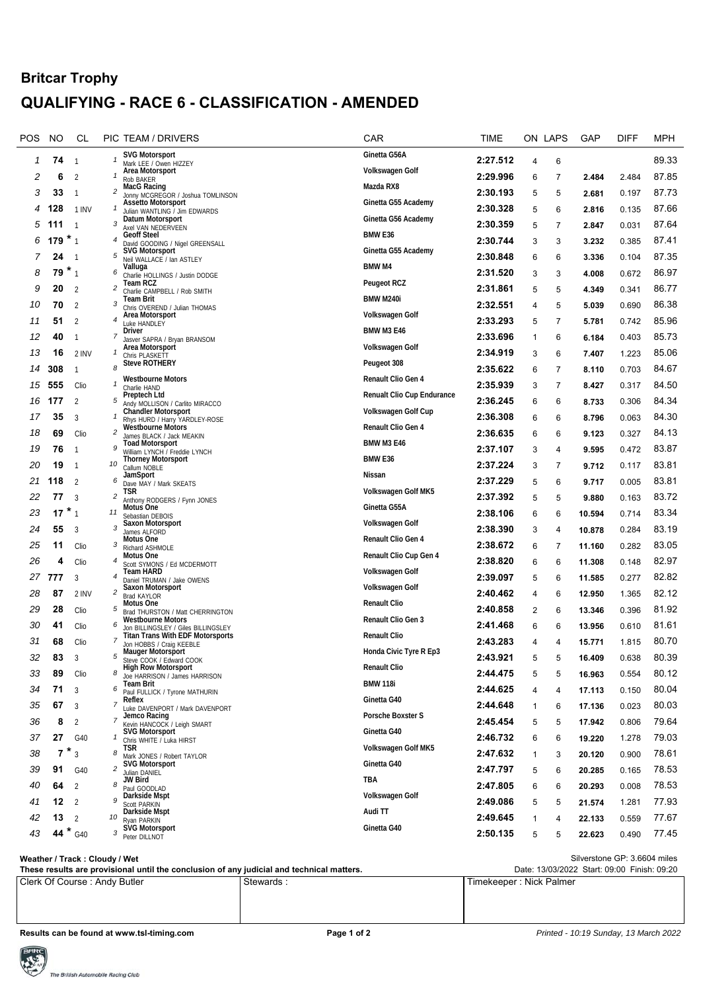## **Britcar Trophy QUALIFYING - RACE 6 - CLASSIFICATION - AMENDED**

| POS | NO     | CL             |                         | PIC TEAM / DRIVERS                                                             | CAR                        | TIME     |              | ON LAPS        | GAP    | DIFF  | <b>MPH</b> |
|-----|--------|----------------|-------------------------|--------------------------------------------------------------------------------|----------------------------|----------|--------------|----------------|--------|-------|------------|
| 1   | 74     | $\overline{1}$ |                         | <b>SVG Motorsport</b><br>Mark LEE / Owen HIZZEY                                | Ginetta G56A               | 2:27.512 | 4            | 6              |        |       | 89.33      |
| 2   | 6      | $\overline{2}$ | $\mathcal I$            | Area Motorsport<br>Rob BAKER                                                   | Volkswagen Golf            | 2:29.996 | 6            | $\overline{7}$ | 2.484  | 2.484 | 87.85      |
| 3   | 33     | $\overline{1}$ | 2                       | MacG Racing<br>Jonny MCGREGOR / Joshua TOMLINSON                               | Mazda RX8                  | 2:30.193 | 5            | 5              | 2.681  | 0.197 | 87.73      |
| 4   | 128    | 1 INV          |                         | <b>Assetto Motorsport</b><br>Julian WANTLING / Jim EDWARDS                     | Ginetta G55 Academy        | 2:30.328 | 5            | 6              | 2.816  | 0.135 | 87.66      |
| 5   | 111    | $\mathbf{1}$   | 3                       | Datum Motorsport                                                               | Ginetta G56 Academy        | 2:30.359 | 5            | $\overline{7}$ | 2.847  | 0.031 | 87.64      |
| 6   | 179    | $*_{1}$        | 4                       | Axel VAN NEDERVEEN<br><b>Geoff Steel</b>                                       | BMW <sub>E36</sub>         | 2:30.744 | 3            | 3              | 3.232  | 0.385 | 87.41      |
| 7   | 24     | -1             | 5                       | David GOODING / Nigel GREENSALL<br><b>SVG Motorsport</b>                       | Ginetta G55 Academy        | 2:30.848 | 6            | 6              | 3.336  | 0.104 | 87.35      |
| 8   | 79     | $*_{1}$        | 6                       | Neil WALLACE / Ian ASTLEY<br>Valluga                                           | <b>BMW M4</b>              | 2:31.520 | 3            | 3              | 4.008  | 0.672 | 86.97      |
| 9   | 20     | -2             | 2                       | Charlie HOLLINGS / Justin DODGE<br>Team RCZ                                    | <b>Peugeot RCZ</b>         | 2:31.861 | 5            | 5              |        | 0.341 | 86.77      |
| 10  | 70     |                | 3                       | Charlie CAMPBELL / Rob SMITH<br>Team Brit                                      | BMW M240i                  | 2:32.551 |              |                | 4.349  |       | 86.38      |
|     |        | $\overline{2}$ | $\boldsymbol{4}$        | Chris OVEREND / Julian THOMAS<br>Area Motorsport                               | Volkswagen Golf            |          | 4            | 5              | 5.039  | 0.690 |            |
| 11  | 51     | $\overline{2}$ |                         | Luke HANDLEY<br>Driver                                                         | <b>BMW M3 E46</b>          | 2:33.293 | 5            | $\overline{7}$ | 5.781  | 0.742 | 85.96      |
| 12  | 40     | $\overline{1}$ | 7                       | Jasver SAPRA / Bryan BRANSOM<br>Area Motorsport                                | Volkswagen Golf            | 2:33.696 | $\mathbf{1}$ | 6              | 6.184  | 0.403 | 85.73      |
| 13  | 16     | 2 INV          |                         | Chris PLASKETT<br><b>Steve ROTHERY</b>                                         | Peugeot 308                | 2:34.919 | 3            | 6              | 7.407  | 1.223 | 85.06      |
| 14  | 308    | $\mathbf{1}$   | 8                       | <b>Westbourne Motors</b>                                                       | Renault Clio Gen 4         | 2:35.622 | 6            | $\overline{7}$ | 8.110  | 0.703 | 84.67      |
| 15  | 555    | Clio           | 1                       | Charlie HAND<br>Preptech Ltd                                                   | Renualt Clio Cup Endurance | 2:35.939 | 3            | $\overline{7}$ | 8.427  | 0.317 | 84.50      |
| 16  | 177    | $\overline{2}$ | 5                       | Andy MOLLISON / Carlito MIRACCO<br><b>Chandler Motorsport</b>                  | Volkswagen Golf Cup        | 2:36.245 | 6            | 6              | 8.733  | 0.306 | 84.34      |
| 17  | 35     | 3              |                         | Rhys HURD / Harry YARDLEY-ROSE                                                 | Renault Clio Gen 4         | 2:36.308 | 6            | 6              | 8.796  | 0.063 | 84.30      |
| 18  | 69     | Clio           | 2                       | Wéstbourne Motors<br>James BLACK / Jack MEAKIN                                 |                            | 2:36.635 | 6            | 6              | 9.123  | 0.327 | 84.13      |
| 19  | 76     | $\overline{1}$ | 9                       | <b>Toad Motorsport</b><br>William LYNCH / Freddie LYNCH                        | <b>BMW M3 E46</b>          | 2:37.107 | 3            | 4              | 9.595  | 0.472 | 83.87      |
| 20  | 19     | -1             | 10                      | <b>Thorney Motorsport</b><br>Callum NOBLE                                      | BMW <sub>E36</sub>         | 2:37.224 | 3            | 7              | 9.712  | 0.117 | 83.81      |
| 21  | 118    | $\overline{2}$ | 6                       | JamSport<br>Dave MAY / Mark SKEATS                                             | Nissan                     | 2:37.229 | 5            | 6              | 9.717  | 0.005 | 83.81      |
| 22  | 77     | 3              | $\overline{\mathbf{c}}$ | TSR<br>Anthony RODGERS / Fynn JONES                                            | Volkswagen Golf MK5        | 2:37.392 | 5            | 5              | 9.880  | 0.163 | 83.72      |
| 23  | 17     | $*_{1}$        | 11                      | Motus One<br>Sebastian DEBOIS                                                  | Ginetta G55A               | 2:38.106 | 6            | 6              | 10.594 | 0.714 | 83.34      |
| 24  | 55     | 3              | 3                       | Saxon Motorsport<br>James ALFORD                                               | Volkswagen Golf            | 2:38.390 | 3            | 4              | 10.878 | 0.284 | 83.19      |
| 25  | 11     | Clio           | 3                       | Motus One<br>Richard ASHMOLE                                                   | Renault Clio Gen 4         | 2:38.672 | 6            | 7              | 11.160 | 0.282 | 83.05      |
| 26  | 4      | Clio           | 4                       | Motus One                                                                      | Renault Clio Cup Gen 4     | 2:38.820 | 6            | 6              | 11.308 | 0.148 | 82.97      |
|     | 27 777 | $\mathbf{3}$   | 4                       | Scott SYMONS / Ed MCDERMOTT<br>Team HARD                                       | Volkswagen Golf            | 2:39.097 | 5            | 6              | 11.585 | 0.277 | 82.82      |
| 28  | 87     | 2 INV          | $\overline{\mathbf{c}}$ | Daniel TRUMAN / Jake OWENS<br>Saxon Motorsport                                 | Volkswagen Golf            | 2:40.462 | 4            | 6              | 12.950 | 1.365 | 82.12      |
| 29  | 28     | Clio           | 5                       | <b>Brad KAYLOR</b><br>Motus One                                                | <b>Renault Clio</b>        | 2:40.858 | 2            | 6              |        | 0.396 | 81.92      |
|     |        |                | 6                       | Brad THURSTON / Matt CHERRINGTON<br>Westbourne Motors                          | <b>Renault Clio Gen 3</b>  |          |              |                | 13.346 |       | 81.61      |
| 30  | 41     | Clio           |                         | Jon BILLINGSLEY / Giles BILLINGSLEY<br><b>Titan Trans With EDF Motorsports</b> | <b>Renault Clio</b>        | 2:41.468 | 6            | 6              | 13.956 | 0.610 |            |
| 31  | 68     | Clio           |                         | Jon HOBBS / Craig KEEBLE<br><b>Mauger Motorsport</b>                           | Honda Civic Tyre R Ep3     | 2:43.283 | 4            | 4              | 15.771 | 1.815 | 80.70      |
| 32  | 83     |                |                         | Steve COOK / Edward COOK<br><b>High Row Motorsport</b>                         | <b>Renault Clio</b>        | 2:43.921 | 5            | 5              | 16.409 | 0.638 | 80.39      |
| 33  | 89     | Clio           | 8                       | Joe HARRISON / James HARRISON<br>Team Brit                                     | <b>BMW 118i</b>            | 2:44.475 | 5            | 5              | 16.963 | 0.554 | 80.12      |
| 34  | 71     | $\overline{3}$ | 6                       | Paul FULLICK / Tyrone MATHURIN<br>Reflex                                       | Ginetta G40                | 2:44.625 | 4            | 4              | 17.113 | 0.150 | 80.04      |
| 35  | 67     | 3              | 7                       | Luke DAVENPORT / Mark DAVENPORT<br>Jemco Racing                                | Porsche Boxster S          | 2:44.648 | 1            | 6              | 17.136 | 0.023 | 80.03      |
| 36  | 8      | 2              | 7                       | Kevin HANCOCK / Leigh SMART                                                    |                            | 2:45.454 | 5            | 5              | 17.942 | 0.806 | 79.64      |
| 37  | 27     | G40            | 1                       | <b>SVG Motorsport</b><br>Chris WHITE / Luka HIRST                              | Ginetta G40                | 2:46.732 | 6            | 6              | 19.220 | 1.278 | 79.03      |
| 38  |        | $7 * 3$        | 8                       | <b>TSR</b><br>Mark JONES / Robert TAYLOR                                       | Volkswagen Golf MK5        | 2:47.632 | $\mathbf{1}$ | 3              | 20.120 | 0.900 | 78.61      |
| 39  | 91     | G40            | 2                       | <b>SVG Motorsport</b><br>Julian DANIEL                                         | Ginetta G40                | 2:47.797 | 5            | 6              | 20.285 | 0.165 | 78.53      |
| 40  | 64     | 2              | 8                       | <b>JW Bird</b><br>Paul GOODLAD                                                 | <b>TBA</b>                 | 2:47.805 | 6            | 6              | 20.293 | 0.008 | 78.53      |
| 41  | 12     | $\overline{2}$ | 9                       | Darkside Mspt<br><b>Scott PARKIN</b>                                           | Volkswagen Golf            | 2:49.086 | 5            | 5              | 21.574 | 1.281 | 77.93      |
| 42  | 13     | 2              | 10                      | Darkside Mspt<br>Ryan PARKIN                                                   | Audi TT                    | 2:49.645 | 1            | 4              | 22.133 | 0.559 | 77.67      |
| 43  |        | 44 * G40       | 3                       | <b>SVG Motorsport</b><br>Peter DILLNOT                                         | Ginetta G40                | 2:50.135 | 5            | 5              | 22.623 | 0.490 | 77.45      |
|     |        |                |                         |                                                                                |                            |          |              |                |        |       |            |

| Weather / Track: Cloudy / Wet                                                             | Silverstone GP: 3.6604 miles                |                         |  |  |  |
|-------------------------------------------------------------------------------------------|---------------------------------------------|-------------------------|--|--|--|
| These results are provisional until the conclusion of any judicial and technical matters. | Date: 13/03/2022 Start: 09:00 Finish: 09:20 |                         |  |  |  |
| Clerk Of Course: Andy Butler                                                              | Stewards :                                  | Timekeeper: Nick Palmer |  |  |  |

**Results can be found at www.tsl-timing.com Page 1 of 2 Page 1 of 2 Printed - 10:19 Sunday, 13 March 2022**